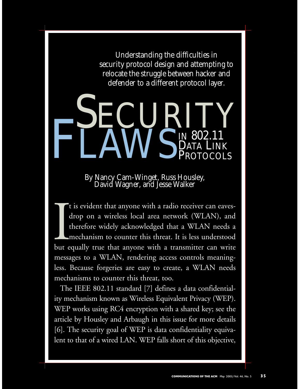Understanding the difficulties in security protocol design and attempting to relocate the struggle between hacker and defender to a different protocol layer.

# SECURITY FLAWS IN 802.11 **IN 802.1**<br>DATA LII PROTOCOLS

By Nancy Cam-Winget, Russ Housley, David Wagner, and Jesse Walker

It is evident that anyone with a radio receiver can eaves-<br>drop on a wireless local area network (WLAN), and<br>therefore widely acknowledged that a WLAN needs a<br>mechanism to counter this threat. It is less understood<br>but equ t is evident that anyone with a radio receiver can eavesdrop on a wireless local area network (WLAN), and therefore widely acknowledged that a WLAN needs a mechanism to counter this threat. It is less understood messages to a WLAN, rendering access controls meaningless. Because forgeries are easy to create, a WLAN needs mechanisms to counter this threat, too.

The IEEE 802.11 standard [7] defines a data confidentiality mechanism known as Wireless Equivalent Privacy (WEP). WEP works using RC4 encryption with a shared key; see the article by Housley and Arbaugh in this issue for more details [6]. The security goal of WEP is data confidentiality equivalent to that of a wired LAN. WEP falls short of this objective,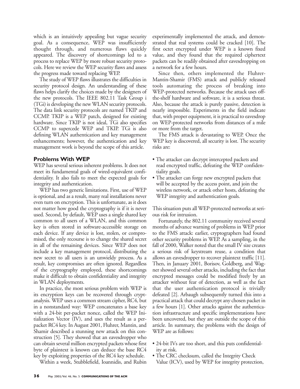which is an intuitively appealing but vague security goal. As a consequence, WEP was insufficiently thought through, and numerous flaws quickly appeared. The discovery of shortcomings led to a process to replace WEP by more robust security protocols. Here we review the WEP security flaws and assess the progress made toward replacing WEP.

The study of WEP flaws illustrates the difficulties in security protocol design. An understanding of these flaws helps clarify the choices made by the designers of the new protocols. The IEEE 802.11 Task Group i (TGi) is developing the new WLAN security protocols. The data link security protocols are named TKIP and CCMP. TKIP is a WEP patch, designed for existing hardware. Since TKIP is not ideal, TGi also specifies CCMP to supercede WEP and TKIP. TGi is also defining WLAN authentication and key management enhancements; however, the authentication and key management work is beyond the scope of this article.

### **Problems With WEP**

WEP has several serious inherent problems. It does not meet its fundamental goals of wired-equivalent confidentiality. It also fails to meet the expected goals for integrity and authentication.

WEP has two generic limitations. First, use of WEP is optional, and as a result, many real installations never even turn on encryption. This is unfortunate, as it does not matter how good the cryptography is if it is never used. Second, by default, WEP uses a single shared key common to all users of a WLAN, and this common key is often stored in software-accessible storage on each device. If any device is lost, stolen, or compromised, the only recourse is to change the shared secret in all of the remaining devices. Since WEP does not include a key management protocol, distributing the new secret to all users is an unwieldy process. As a result, key compromises are often ignored. Regardless of the cryptography employed, these shortcomings make it difficult to obtain confidentiality and integrity in WLAN deployments.

In practice, the most serious problem with WEP is its encryption keys can be recovered through cryptanalysis. WEP uses a common stream cipher, RC4, but in a nonstandard way: WEP concatenates a base key with a 24-bit per-packet nonce, called the WEP Initialization Vector (IV), and uses the result as a perpacket RC4 key. In August 2001, Fluhrer, Mantin, and Shamir described a stunning new attack on this construction [5]. They showed that an eavesdropper who can obtain several million encrypted packets whose first byte of plaintext is known can deduce the base RC4 key by exploiting properties of the RC4 key schedule.

Within a week, Stubblefield, Ioannidis, and Rubin

experimentally implemented the attack, and demonstrated that real systems could be cracked [10]. The first octet encrypted under WEP is a known fixed value, and they found that the required ciphertext packets can be readily obtained after eavesdropping on a network for a few hours.

Since then, others implemented the Fluhrer-Mantin-Shamir (FMS) attack and publicly released tools automating the process of breaking into WEP-protected networks. Because the attack uses offthe-shelf hardware and software, it is a serious threat. Also, because the attack is purely passive, detection is nearly impossible. Experiments in the field indicate that, with proper equipment, it is practical to eavesdrop on WEP-protected networks from distances of a mile or more from the target.

The FMS attack is devastating to WEP. Once the WEP key is discovered, all security is lost. The security risks are:

- The attacker can decrypt intercepted packets and read encrypted traffic, defeating the WEP confidentiality goals.
- The attacker can forge new encrypted packets that will be accepted by the access point, and join the wireless network, or attack other hosts, defeating the WEP integrity and authentication goals.

This situation puts all WEP-protected networks at serious risk for intrusion.

Fortunately, the 802.11 community received several months of advance warning of problems in WEP prior to the FMS attack: earlier, cryptographers had found other security problems in WEP. As a sampling, in the fall of 2000, Walker noted that the small IV size creates a serious risk of keystream reuse, a condition that allows an eavesdropper to recover plaintext traffic [11]. Then, in January 2001, Borisov, Goldberg, and Wagner showed several other attacks, including the fact that encrypted messages could be modified freely by an attacker without fear of detection, as well as the fact that the user authentication protocol is trivially defeated [2]. Arbaugh subsequently turned this into a practical attack that could decrypt any chosen packet in a few hours [1]. Other attacks against the authentication infrastructure and specific implementations have been uncovered, but they are outside the scope of this article. In summary, the problems with the design of WEP are as follows:

- 24-bit IVs are too short, and this puts confidentiality at risk.
- The CRC checksum, called the Integrity Check Value (ICV), used by WEP for integrity protection,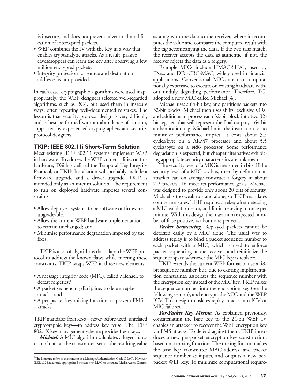is insecure, and does not prevent adversarial modification of intercepted packets.

- WEP combines the IV with the key in a way that enables cryptanalytic attacks. As a result, passive eavesdroppers can learn the key after observing a few million encrypted packets.
- Integrity protection for source and destination addresses is not provided.

In each case, cryptographic algorithms were used inappropriately: the WEP designers selected well-regarded algorithms, such as RC4, but used them in insecure ways, often repeating well-documented mistakes. The lesson is that security protocol design is very difficult, and is best performed with an abundance of caution, supported by experienced cryptographers and security protocol designers.

### **TKIP: IEEE 802.11i Short-Term Solution**

Most existing IEEE 802.11 systems implement WEP in hardware. To address the WEP vulnerabilities on this hardware, TGi has defined the Temporal Key Integrity Protocol, or TKIP. Installation will probably include a firmware upgrade and a driver upgrade. TKIP is intended only as an interim solution. The requirement to run on deployed hardware imposes several constraints:

- Allow deployed systems to be software or firmware upgradeable;
- Allow the current WEP hardware implementation to remain unchanged; and
- Minimize performance degradation imposed by the fixes.

TKIP is a set of algorithms that adapt the WEP protocol to address the known flaws while meeting these constraints. TKIP wraps WEP in three new elements:

- A message integrity code (MIC), called Michael, to defeat forgeries;<sup>1</sup>
- A packet sequencing discipline, to defeat replay attacks; and
- A per-packet key mixing function, to prevent FMS attacks.

TKIP mandates fresh keys—never-before-used, unrelated cryptographic keys—to address key reuse. The IEEE 802.1X key management scheme provides fresh keys.

*Michael.* A MIC algorithm calculates a keyed function of data at the transmitter, sends the resulting value as a tag with the data to the receiver, where it recomputes the value and compares the computed result with the tag accompanying the data. If the two tags match, the receiver accepts the data as authentic; if not, the receiver rejects the data as a forgery.

Example MICs include HMAC-SHA1, used by IPsec, and DES-CBC-MAC, widely used in financial applications. Conventional MICs are too computationally expensive to execute on existing hardware without unduly degrading performance. Therefore, TGi adopted a new MIC called Michael [4].

Michael uses a 64-bit key, and partitions packets into 32-bit blocks. Michael then uses shifts, exclusive ORs, and additions to process each 32-bit block into two 32 bit registers that will represent the final output, a 64-bit authentication tag. Michael limits the instruction set to minimize performance impact. It costs about 3.5 cycles/byte on a ARM7 processor and about 5.5 cycles/byte on a i486 processor. Some performance degradation is expected, but cheaper alternatives exhibiting appropriate security characteristics are unknown.

The security level of a MIC is measured in bits. If the security level of a MIC is *s* bits, then, by definition an attacker can on average construct a forgery in about 2-*s*+1 packets. To meet its performance goals, Michael was designed to provide only about 20 bits of security. Michael is too weak to stand alone, so TKIP mandates countermeasures: TKIP requires a rekey after detecting a MIC validation error, and limits rekeying to once per minute. With this design the maximum expected number of false positives is about one per year.

*Packet Sequencing.* Replayed packets cannot be detected easily by a MIC alone. The usual way to address replay is to bind a packet sequence number to each packet with a MIC, which is used to enforce packet sequencing at the receiver, and reinitialize the sequence space whenever the MIC key is replaced.

TKIP extends the current WEP format to use a 48 bit sequence number, but, due to existing implementation constraints, associates the sequence number with the encryption key instead of the MIC key. TKIP mixes the sequence number into the encryption key (see the following section), and encrypts the MIC and the WEP ICV. This design translates replay attacks into ICV or MIC failures.

Per-Packet Key Mixing. As explained previously, concatenating the base key to the 24-bit WEP IV enables an attacker to recover the WEP encryption key via FMS attacks. To defend against them, TKIP introduces a new per-packet encryption key construction, based on a mixing function. The mixing function takes the base key, transmitter MAC address, and packet sequence number as inputs, and outputs a new perpacket WEP key. To minimize computational require-

<sup>&</sup>lt;sup>1</sup>The literature refers to this concept as a Message Authentication Code (MAC). However, IEEE 802 had already appropriated the acronym MAC to designate Media Access Control.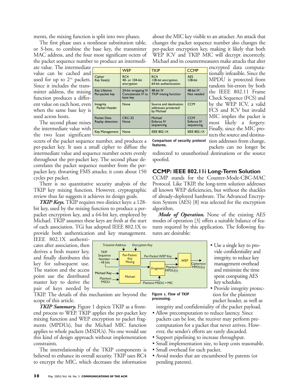ments, the mixing function is split into two phases.

The first phase uses a nonlinear substitution table, or S-box, to combine the base key, the transmitter MAC address, and the four most significant octets of the packet sequence number to produce an intermedi-

ate value. The intermediate value can be cached and used for up to  $2^{16}$  packets. Since it includes the transmitter address, the mixing  $\left| \frac{\text{Key lifetime}}{\text{Per-packet k}} \right|$ function produces a different value on each host, even **Integrity** when the same base key is used across hosts.

The second phase mixes the intermediate value with the two least significant  $\frac{R}{\sqrt{2\pi}}$ 

octets of the packet sequence number, and produces a per-packet key. It uses a small cipher to diffuse the intermediate value and sequence number octets evenly throughout the per-packet key. The second phase decorrelates the packet sequence number from the perpacket key, thwarting FMS attacks; it costs about 150 cycles per packet.

There is no quantitative security analysis of the TKIP key mixing function. However, cryptographic review thus far suggests it achieves its design goals.

*TKIP Keys.* TKIP requires two distinct keys: a 128 bit key, used by the mixing function to produce a perpacket encryption key, and a 64-bit key, employed by Michael. TKIP assumes these keys are fresh at the start of each association. TGi has adopted IEEE 802.1X to provide both authentication and key management.

> **TKIP Sequence** Number<br>- 48 bits

> > Plaintext MSDU

Michael Key

Transmit Address Encryption Key

Per-Packet Key Mixing

╈

Michael

IEEE 802.1X authenticates after association, then derives a fresh master key, and finally distributes this key for subsequent use. The station and the access point use the distributed master key to derive the pair of keys needed by

TKIP. The details of this mechanism are beyond the scope of this article.

*TKIP Summary.* Figure 1 depicts TKIP as a frontend process to WEP. TKIP applies the per-packet key mixing function and WEP encryption to packet fragments (MPDUs), but the Michael MIC function applies to whole packets (MSDUs). No one would use this kind of design approach without implementation constraints.

The interrelationship of the TKIP components is believed to enhance its overall security. TKIP uses RC4 to encrypt the MIC, which decreases the information

about the MIC key visible to an attacker. An attack that changes the packet sequence number also changes the per-packet encryption key, making it likely that both WEP ICV and TKIP MIC will decrypt incorrectly. Michael and its countermeasures make attacks that alter

|                                                                                                                                   | encrypted data computa-                                                                                                             |
|-----------------------------------------------------------------------------------------------------------------------------------|-------------------------------------------------------------------------------------------------------------------------------------|
| <b>WFP</b><br><b>TKIP</b>                                                                                                         | <b>CCMP</b>                                                                                                                         |
| RC4<br>Cipher<br>RC4<br>Key Size(s)<br>40- or 104-bit<br>128-bit encryption,<br>64-bit authentication<br>encryption               | tionally infeasible. Since the<br><b>AES</b><br>MPDU is protected from<br>128-bit<br>random bit-errors by both                      |
| Key Lifetime<br>48-bit IV<br>24-bit wrapping IV<br><b>TKIP</b> mixing function<br>Per-packet key<br>Concatenate IV to<br>base key | 48-bit IV<br>the IEEE 802.11 Frame<br>Not needed<br>Check Sequence (FCS) and                                                        |
| Source and destination<br>None<br>Integrity<br>Packet Header<br>addresses protected<br>by Michael                                 | by the WEP ICV, a valid<br><b>CCM</b><br>FCS and ICV but invalid                                                                    |
| <b>CRC-32</b><br>Michael<br>Packet Data<br>Replay detection<br><b>Enforce IV</b><br>None<br>sequencing                            | MIC implies the packet is<br><b>CCM</b><br><b>Enforce IV</b><br>most likely a forgery.<br>sequencing<br>Finally, since the MIC pro- |
| <b>IEEE 802.IX</b><br>Key Management<br>None                                                                                      | <b>IEEE 802.IX</b><br>tects the source and destina-                                                                                 |

MPDU is protected from random bit-errors by both the IEEE 802.11 Frame Check Sequence (FCS) and by the WEP ICV, a valid FCS and ICV but invalid MIC implies the packet is most likely a forgery. Finally, since the MIC protects the source and destination addresses from change,

**Comparison of security protocol features.**

packets can no longer be redirected to unauthorized destinations or the source spoofed.

## **CCMP: IEEE 802.11i Long-Term Solution**

CCMP stands for the Counter-Mode-CBC-MAC Protocol. Like TKIP, the long-term solution addresses all known WEP deficiencies, but without the shackles of already-deployed hardware. The Advanced Encryption System (AES) [8] was selected for the encryption algorithm.

*Mode of Operation.* None of the existing AES modes of operation [3] offers a suitable balance of features required by this application. The following features are desirable:

- Use a single key to provide confidentiality and integrity, to reduce key management overhead and minimize the time spent computing AES key schedules.
- Provide integrity protection for the plaintext packet header, as well as

integrity and confidentiality of the packet payload.

Ciphertext MPDU(s)

**WEP** 

- Allow precomputation to reduce latency. Since packets can be lost, the receiver may perform precomputation for a packet that never arrives. However, the sender's efforts are rarely discarded.
- Support pipelining to increase throughput.
- Small implementation size, to keep costs reasonable.
- Small overhead for each packet.

**Figure 1. Flow of TKIP** 

**Plaintext** MPDU(s)

**processing.** 

Per-Packet WEP Key

Fragment

Plaintext MSDU + MIC

• Avoid modes that are encumbered by patents (or pending patents).